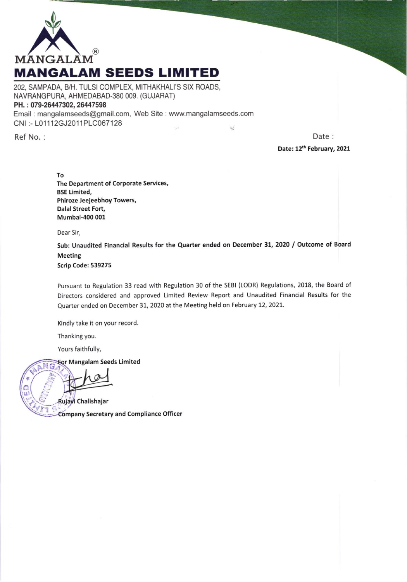

202, SAMPADA, B/H. TULSI COMPLEX, MITHAKHALI'S SIX ROADS, NAVBANGPURA, AHMEDABAD-380 OO9. (GUJARAT) PH.: 079-26447302, 26447598 Email : mangalamseeds@gmail.com, Web Site : www.mangalamseeds.com CNI :- L01112GJ2011PLC067128

Ref No. : Date : Date: 12<sup>th</sup> February, 2021

> To The Department of Corporate Services, BSE Limited, Phiroze Jeejeebhoy Towers, Oalal Street Fort, Mumbai-400 001

Dear Sir,

Sub: Unaudited Financial Results for the Quarter ended on December 31, 2020 / Outcome of Board **Meeting** Scrip Code: 539275

 $\frac{1}{2}$ 

Pursuant to Regulation 33 read with Regulation 30 of the SEBI (LODR) Regulations, 2018, the Board of Directors considered and approved Limited Review Report and Unaudited Financial Results for the Quarter ended on December 31, 2020 at the Meeting held on February 12, 2021.

Kindly take it on your record.

Thanking you.

Yours faithfully,

For Mangalam Seeds Limited

Rujayi Chalishajar

mpany Secretary and Compliance Officer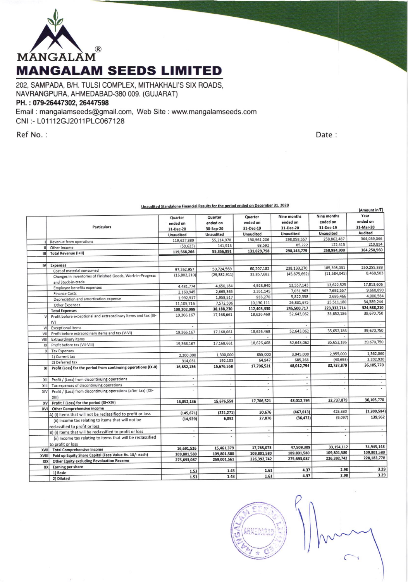

202, SAMPADA, B/H. TULSI COMPLEX, MITHAKHALI'S SIX ROADS, NAVRANGPURA, AHMEDABAD-380 009. (GUJARAT) PH.: 079-26447302, 26447598

Email: mangalamseeds@gmail.com, Web Site: www.mangalamseeds.com CNI:-L01112GJ2011PLC067128

Ref No.:

Date:

|              | <u>Unaudited Standalone Financial Results for the period ended on Becember 3.</u><br>(Amount in ₹) |                                  |                                  |                                  |                                             |                                      |                               |  |  |
|--------------|----------------------------------------------------------------------------------------------------|----------------------------------|----------------------------------|----------------------------------|---------------------------------------------|--------------------------------------|-------------------------------|--|--|
|              | <b>Particulars</b>                                                                                 | Quarter<br>ended on<br>31-Dec-20 | Quarter<br>ended on<br>30-Sep-20 | Quarter<br>ended on<br>31-Dec-19 | <b>Nine months</b><br>ended on<br>31-Dec-20 | Nine months<br>ended on<br>31-Dec-19 | Year<br>ended on<br>31-Mar-20 |  |  |
|              |                                                                                                    | <b>Unaudited</b>                 | <b>Unaudited</b>                 | Unaudited                        | <b>Unaudited</b>                            | <b>Unaudited</b>                     | Audited                       |  |  |
|              | Revenue from operations                                                                            | 119,627,889                      | 55,214,978                       | 130,961,206                      | 298,058,557                                 | 258,862,487                          | 364,039,066                   |  |  |
| $\mathbf{u}$ | Other Income                                                                                       | (59, 623)                        | 141,913                          | 68,592                           | 85,222                                      | 122,413                              | 219,894                       |  |  |
| шl           | <b>Total Revenue (I+II)</b>                                                                        | 119,568,266                      | 55,356,891                       | 131,029,798                      | 298,143,779                                 | 258,984,900                          | 364,258,960                   |  |  |
|              |                                                                                                    |                                  |                                  |                                  |                                             |                                      |                               |  |  |
| <b>IV</b>    | <b>Expenses</b>                                                                                    |                                  |                                  |                                  |                                             | 185,395,031                          | 250,255,383                   |  |  |
|              | Cost of material consumed                                                                          | 97.262.957                       | 50,724,569                       | 60,207,182                       | 238,133,270                                 |                                      | 8,468,503                     |  |  |
|              | Changes in inventories of Finished Goods, Work-in-Progress<br>and Stock-in-trade                   | (16,802,210)                     | (29, 382, 911)                   | 33,857,682                       | (45, 875, 692)                              | (11,584,045)                         |                               |  |  |
|              | Employee benefits expenses                                                                         | 4,481,774                        | 4,650,184                        | 4,923,940                        | 13,557,143                                  | 13,622,525                           | 17,813,606                    |  |  |
|              | <b>Finance Costs</b>                                                                               | 2,160,945                        | 2,665,365                        | 2,351,145                        | 7,031,963                                   | 7,692,557                            | 9,660,890                     |  |  |
|              | Depreciation and amortization expense                                                              | 1,992,917                        | 1,958,517                        | 933,270                          | 5,822,358                                   | 2,695,466                            | 4,000,584                     |  |  |
|              | Other Expenses                                                                                     | 11,105,716                       | 7,572,506                        | 10,130,111                       | 26,831,675                                  | 25,511,180                           | 34,389,244                    |  |  |
|              | <b>Total Expenses</b>                                                                              | 100,202,099                      | 38,188,230                       | 112,403,330                      | 245,500,717                                 | 223,332,714                          | 324,588,210                   |  |  |
|              | Profit before exceptional and extraordinary items and tax (III-<br>IV)                             | 19,366,167                       | 17,168,661                       | 18,626,468                       | 52,643,062                                  | 35,652,186                           | 39,670,750                    |  |  |
| VI           | <b>Exceptional Items</b>                                                                           | ÷                                | ×                                |                                  |                                             |                                      |                               |  |  |
| VII          | Profit before extraordinary items and tax (V-VI)                                                   | 19,366,167                       | 17,168,661                       | 18,626,468                       | 52,643,062                                  | 35,652,186                           | 39,670,750                    |  |  |
| VIII         | <b>Extraordinary items</b>                                                                         |                                  |                                  |                                  |                                             |                                      |                               |  |  |
| IX           | Profit before tax (VII-VIII)                                                                       | 19,366,167                       | 17,168,661                       | 18,626,468                       | 52,643,062                                  | 35,652,186                           | 39,670,750                    |  |  |
| $\mathsf{x}$ | <b>Tax Expenses</b>                                                                                |                                  |                                  |                                  |                                             |                                      |                               |  |  |
|              | 1) Current tax                                                                                     | 2,200,000                        | 1,300,000                        | 855,000                          | 3,945,000                                   | 2,955,000                            | 1,362,060                     |  |  |
|              | 2) Deferred tax                                                                                    | 314,031                          | 192,103                          | 64,947                           | 685,268                                     | (40, 693)                            | 2,202,920                     |  |  |
| XI           | Profit (Loss) for the period from continuing operations (IX-X)                                     | 16,852,136                       | 15,676,558                       | 17,706,521                       | 48,012,794                                  | 32,737,879                           | 36,105,770                    |  |  |
| XII          | Profit / (Loss) from discontinuing operations                                                      | $\omega_{\rm c}$                 | $\bullet$                        | $\blacksquare$                   | $\overline{\phantom{a}}$                    | ÷,                                   |                               |  |  |
| XIII         | Tax expenses of discontinuing operations                                                           | $\omega$                         | $\omega$                         | $\overline{\phantom{a}}$         | $\overline{\phantom{a}}$                    |                                      |                               |  |  |
| XIV          | Profit / (Loss) from discontinuing operations (after tax) (XII-<br>$XIII$ )                        |                                  |                                  |                                  |                                             |                                      |                               |  |  |
| <b>XV</b>    | Profit / (Loss) for the period (XI+XIV)                                                            | 16,852,136                       | 15,676,558                       | 17,706,521                       | 48,012,794                                  | 32,737,879                           | 36,105,770                    |  |  |
| <b>XVI</b>   | <b>Other Comprehensive income</b>                                                                  |                                  |                                  |                                  |                                             |                                      |                               |  |  |
|              | A) (i) Items that will not be reclassified to profit or loss                                       | (145, 671)                       | (221, 271)                       | 30,676                           | (467, 013)                                  | 425,330                              | (1,300,584)                   |  |  |
|              | (ii) Income tax relating to items that will not be<br>reclassified to profit or loss               | (14, 939)                        | 6,092                            | 27,876                           | (36, 472)                                   | (9,097)                              | 139,962                       |  |  |
|              | B) (i) Items that will be reclassified to profit or loss                                           | $\blacksquare$                   | $\cdot$                          | $\overline{\phantom{a}}$         | $\overline{\phantom{a}}$                    | $\sim$                               |                               |  |  |
|              | (ii) Income tax relating to items that will be reclassified                                        |                                  |                                  | ÷                                |                                             |                                      |                               |  |  |
|              |                                                                                                    |                                  |                                  |                                  |                                             |                                      |                               |  |  |
|              | to profit or loss<br><b>Total Comprehensive Income</b>                                             | 16,691,526                       | 15,461,379                       | 17,765,073                       | 47,509,309                                  | 33,154,112                           | 34,945,148                    |  |  |
| <b>XVIII</b> | Paid up Equity Share Capital (Face Value Rs. 10/- each)                                            | 109,801,580                      | 109,801,580                      | 109,801,580                      | 109,801,580                                 | 109,801,580                          | 109,801,580                   |  |  |
| XVIII        | <b>Other Equity excluding Revaluation Reserve</b>                                                  | 275,693,087                      | 259,001,561                      | 226,392,742                      | 275,693,087                                 | 226,392,742                          | 228,183,778                   |  |  |
| <b>XIX</b>   |                                                                                                    |                                  |                                  |                                  |                                             |                                      |                               |  |  |
| XX           | Earning per share<br>1) Basic                                                                      | 1.53                             | 1.43                             | 1.61                             | 4.37                                        | 2.98                                 | 3.29                          |  |  |
|              | 2) Diluted                                                                                         | 1.53                             | 1.43                             | 1.61                             | 4.37                                        | 2.98                                 | 3.29                          |  |  |

cial Results for the neriod ended on December 31, 2020